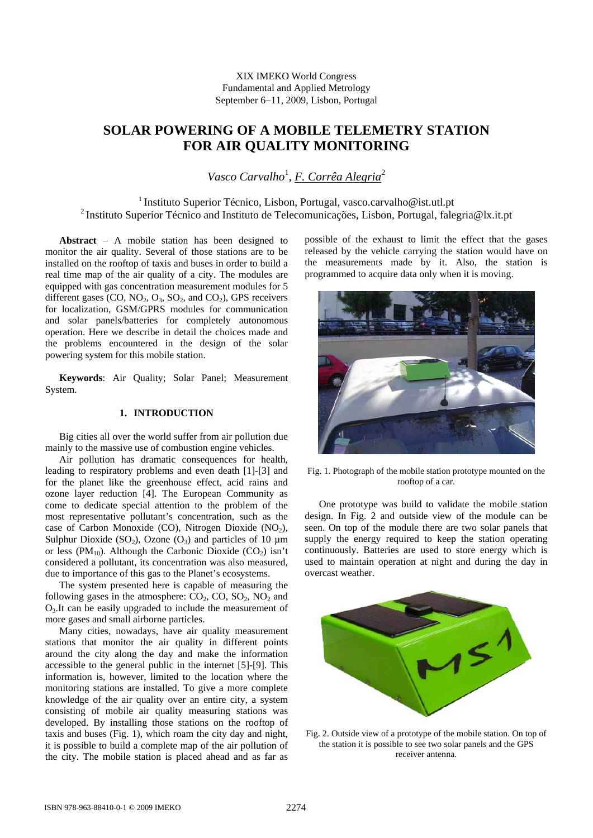# XIX IMEKO World Congress Fundamental and Applied Metrology September 6−11, 2009, Lisbon, Portugal

# **SOLAR POWERING OF A MOBILE TELEMETRY STATION FOR AIR QUALITY MONITORING**

Vasco Carvalho<sup>1</sup>, <u>F. Corrêa Alegria</u><sup>2</sup>

<sup>1</sup> Instituto Superior Técnico, Lisbon, Portugal, vasco.carvalho@ist.utl.pt 2 Instituto Superior Técnico and Instituto de Telecomunicações, Lisbon, Portugal, falegria@lx.it.pt

**Abstract** − A mobile station has been designed to monitor the air quality. Several of those stations are to be installed on the rooftop of taxis and buses in order to build a real time map of the air quality of a city. The modules are equipped with gas concentration measurement modules for 5 different gases (CO,  $NO_2$ ,  $O_3$ ,  $SO_2$ , and  $CO_2$ ), GPS receivers for localization, GSM/GPRS modules for communication and solar panels/batteries for completely autonomous operation. Here we describe in detail the choices made and the problems encountered in the design of the solar powering system for this mobile station.

**Keywords**: Air Quality; Solar Panel; Measurement System.

# **1. INTRODUCTION**

Big cities all over the world suffer from air pollution due mainly to the massive use of combustion engine vehicles.

Air pollution has dramatic consequences for health, leading to respiratory problems and even death [1]-[3] and for the planet like the greenhouse effect, acid rains and ozone layer reduction [4]. The European Community as come to dedicate special attention to the problem of the most representative pollutant's concentration, such as the case of Carbon Monoxide (CO), Nitrogen Dioxide (NO<sub>2</sub>), Sulphur Dioxide (SO<sub>2</sub>), Ozone (O<sub>3</sub>) and particles of 10  $\mu$ m or less (PM<sub>10</sub>). Although the Carbonic Dioxide (CO<sub>2</sub>) isn't considered a pollutant, its concentration was also measured, due to importance of this gas to the Planet's ecosystems.

The system presented here is capable of measuring the following gases in the atmosphere:  $CO_2$ ,  $CO_2$ ,  $SO_2$ ,  $NO_2$  and  $O<sub>3</sub>$ . It can be easily upgraded to include the measurement of more gases and small airborne particles.

Many cities, nowadays, have air quality measurement stations that monitor the air quality in different points around the city along the day and make the information accessible to the general public in the internet [5]-[9]. This information is, however, limited to the location where the monitoring stations are installed. To give a more complete knowledge of the air quality over an entire city, a system consisting of mobile air quality measuring stations was developed. By installing those stations on the rooftop of taxis and buses (Fig. 1), which roam the city day and night, it is possible to build a complete map of the air pollution of the city. The mobile station is placed ahead and as far as

possible of the exhaust to limit the effect that the gases released by the vehicle carrying the station would have on the measurements made by it. Also, the station is programmed to acquire data only when it is moving.



Fig. 1. Photograph of the mobile station prototype mounted on the rooftop of a car.

One prototype was build to validate the mobile station design. In Fig. 2 and outside view of the module can be seen. On top of the module there are two solar panels that supply the energy required to keep the station operating continuously. Batteries are used to store energy which is used to maintain operation at night and during the day in overcast weather.



Fig. 2. Outside view of a prototype of the mobile station. On top of the station it is possible to see two solar panels and the GPS receiver antenna.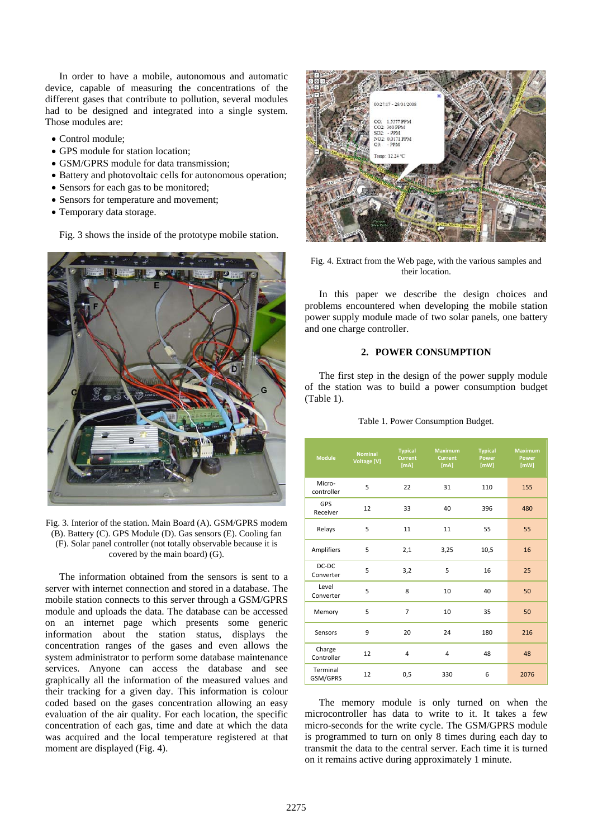In order to have a mobile, autonomous and automatic device, capable of measuring the concentrations of the different gases that contribute to pollution, several modules had to be designed and integrated into a single system. Those modules are:

- Control module;
- GPS module for station location:
- GSM/GPRS module for data transmission:
- Battery and photovoltaic cells for autonomous operation;
- Sensors for each gas to be monitored;
- Sensors for temperature and movement;
- Temporary data storage.

Fig. 3 shows the inside of the prototype mobile station.



Fig. 3. Interior of the station. Main Board (A). GSM/GPRS modem (B). Battery (C). GPS Module (D). Gas sensors (E). Cooling fan (F). Solar panel controller (not totally observable because it is covered by the main board) (G).

The information obtained from the sensors is sent to a server with internet connection and stored in a database. The mobile station connects to this server through a GSM/GPRS module and uploads the data. The database can be accessed on an internet page which presents some generic information about the station status, displays the concentration ranges of the gases and even allows the system administrator to perform some database maintenance services. Anyone can access the database and see graphically all the information of the measured values and their tracking for a given day. This information is colour coded based on the gases concentration allowing an easy evaluation of the air quality. For each location, the specific concentration of each gas, time and date at which the data was acquired and the local temperature registered at that moment are displayed (Fig. 4).



Fig. 4. Extract from the Web page, with the various samples and their location.

In this paper we describe the design choices and problems encountered when developing the mobile station power supply module made of two solar panels, one battery and one charge controller.

#### **2. POWER CONSUMPTION**

The first step in the design of the power supply module of the station was to build a power consumption budget (Table 1).

|  | Table 1. Power Consumption Budget. |  |  |
|--|------------------------------------|--|--|
|--|------------------------------------|--|--|

| <b>Module</b>          | <b>Nominal</b><br>Voltage [V] | <b>Typical</b><br><b>Current</b><br>[ <sub>m</sub> A] | <b>Maximum</b><br><b>Current</b><br>[mA] | <b>Typical</b><br><b>Power</b><br>[ mW] | <b>Maximum</b><br><b>Power</b><br>[MW] |
|------------------------|-------------------------------|-------------------------------------------------------|------------------------------------------|-----------------------------------------|----------------------------------------|
| Micro-<br>controller   | 5                             | 22                                                    | 31                                       | 110                                     | 155                                    |
| <b>GPS</b><br>Receiver | 12                            | 33                                                    | 40                                       | 396                                     | 480                                    |
| Relays                 | 5                             | 11                                                    | 11                                       | 55                                      | 55                                     |
| Amplifiers             | 5                             | 2,1                                                   | 3,25                                     | 10,5                                    | 16                                     |
| DC-DC<br>Converter     | 5                             | 3,2                                                   | 5                                        | 16                                      | 25                                     |
| Level<br>Converter     | 5                             | 8                                                     | 10                                       | 40                                      | 50                                     |
| Memory                 | 5                             | 7                                                     | 10                                       | 35                                      | 50                                     |
| Sensors                | 9                             | 20                                                    | 24                                       | 180                                     | 216                                    |
| Charge<br>Controller   | 12                            | $\overline{4}$                                        | 4                                        | 48                                      | 48                                     |
| Terminal<br>GSM/GPRS   | 12                            | 0,5                                                   | 330                                      | 6                                       | 2076                                   |

The memory module is only turned on when the microcontroller has data to write to it. It takes a few micro-seconds for the write cycle. The GSM/GPRS module is programmed to turn on only 8 times during each day to transmit the data to the central server. Each time it is turned on it remains active during approximately 1 minute.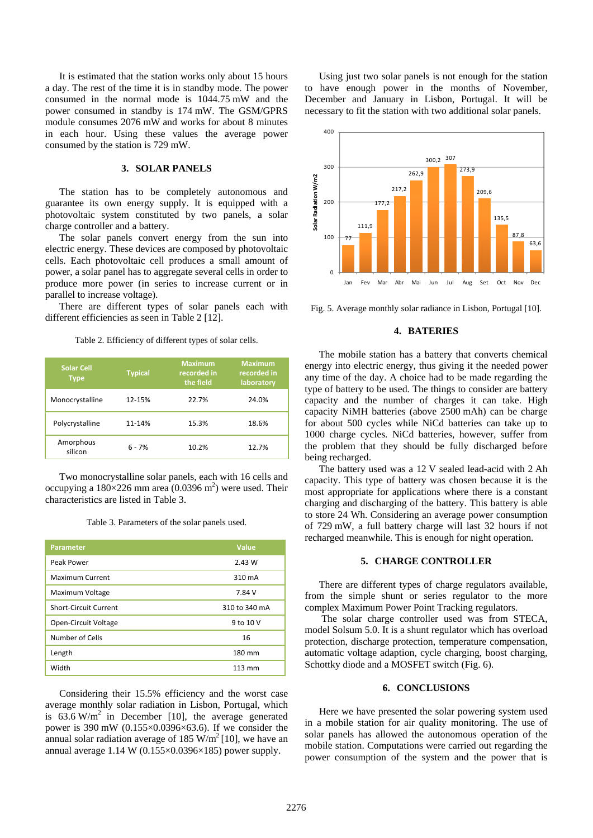It is estimated that the station works only about 15 hours a day. The rest of the time it is in standby mode. The power consumed in the normal mode is 1044.75 mW and the power consumed in standby is 174 mW. The GSM/GPRS module consumes 2076 mW and works for about 8 minutes in each hour. Using these values the average power consumed by the station is 729 mW.

## **3. SOLAR PANELS**

The station has to be completely autonomous and guarantee its own energy supply. It is equipped with a photovoltaic system constituted by two panels, a solar charge controller and a battery.

The solar panels convert energy from the sun into electric energy. These devices are composed by photovoltaic cells. Each photovoltaic cell produces a small amount of power, a solar panel has to aggregate several cells in order to produce more power (in series to increase current or in parallel to increase voltage).

There are different types of solar panels each with different efficiencies as seen in Table 2 [12].

Table 2. Efficiency of different types of solar cells.

| <b>Solar Cell</b><br><b>Type</b> | <b>Typical</b> | <b>Maximum</b><br>recorded in<br>the field | <b>Maximum</b><br>recorded in<br>laboratory |
|----------------------------------|----------------|--------------------------------------------|---------------------------------------------|
| Monocrystalline                  | 12-15%         | 22.7%                                      | 24.0%                                       |
| Polycrystalline                  | 11-14%         | 15.3%                                      | 18.6%                                       |
| Amorphous<br>silicon             | $6 - 7%$       | 10.2%                                      | 12.7%                                       |

Two monocrystalline solar panels, each with 16 cells and occupying a  $180 \times 226$  mm area (0.0396 m<sup>2</sup>) were used. Their characteristics are listed in Table 3.

Table 3. Parameters of the solar panels used.

| <b>Parameter</b>       | <b>Value</b>  |
|------------------------|---------------|
| Peak Power             | 2.43 W        |
| <b>Maximum Current</b> | 310 mA        |
| Maximum Voltage        | 7.84 V        |
| Short-Circuit Current  | 310 to 340 mA |
| Open-Circuit Voltage   | 9 to 10 V     |
| Number of Cells        | 16            |
| Length                 | 180 mm        |
| Width                  | 113 mm        |

Considering their 15.5% efficiency and the worst case average monthly solar radiation in Lisbon, Portugal, which is  $63.6 \text{ W/m}^2$  in December [10], the average generated power is 390 mW (0.155×0.0396×63.6). If we consider the annual solar radiation average of 185 W/m<sup>2</sup> [10], we have an annual average  $1.14 \text{ W } (0.155 \times 0.0396 \times 185)$  power supply.

Using just two solar panels is not enough for the station to have enough power in the months of November, December and January in Lisbon, Portugal. It will be necessary to fit the station with two additional solar panels.



Fig. 5. Average monthly solar radiance in Lisbon, Portugal [10].

## **4. BATERIES**

The mobile station has a battery that converts chemical energy into electric energy, thus giving it the needed power any time of the day. A choice had to be made regarding the type of battery to be used. The things to consider are battery capacity and the number of charges it can take. High capacity NiMH batteries (above 2500 mAh) can be charge for about 500 cycles while NiCd batteries can take up to 1000 charge cycles. NiCd batteries, however, suffer from the problem that they should be fully discharged before being recharged.

The battery used was a 12 V sealed lead-acid with 2 Ah capacity. This type of battery was chosen because it is the most appropriate for applications where there is a constant charging and discharging of the battery. This battery is able to store 24 Wh. Considering an average power consumption of 729 mW, a full battery charge will last 32 hours if not recharged meanwhile. This is enough for night operation.

## **5. CHARGE CONTROLLER**

There are different types of charge regulators available, from the simple shunt or series regulator to the more complex Maximum Power Point Tracking regulators.

 The solar charge controller used was from STECA, model Solsum 5.0. It is a shunt regulator which has overload protection, discharge protection, temperature compensation, automatic voltage adaption, cycle charging, boost charging, Schottky diode and a MOSFET switch (Fig. 6).

#### **6. CONCLUSIONS**

Here we have presented the solar powering system used in a mobile station for air quality monitoring. The use of solar panels has allowed the autonomous operation of the mobile station. Computations were carried out regarding the power consumption of the system and the power that is